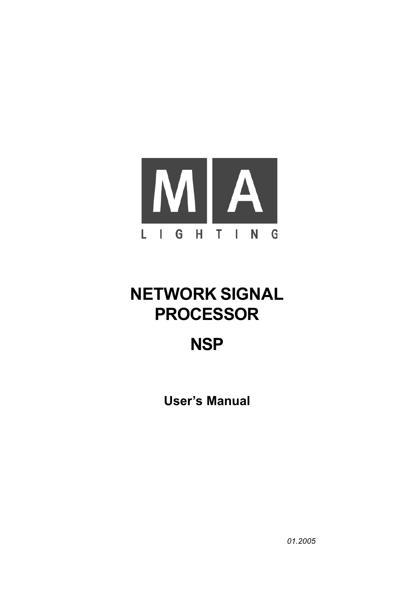

# **NETWORK SIGNAL PROCESSOR**

## **NSP**

**User's Manual**

*01.2005*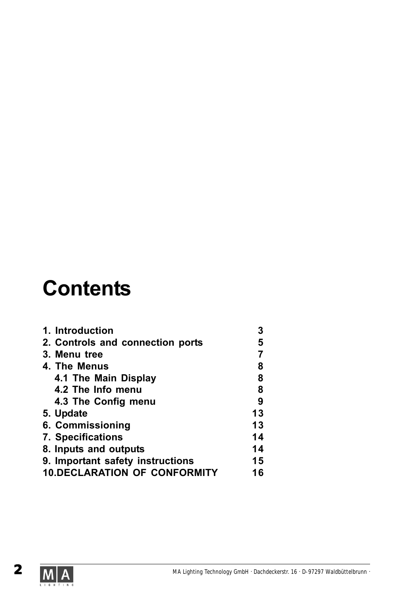# **Contents**

| 1. Introduction                     | 3  |
|-------------------------------------|----|
| 2. Controls and connection ports    | 5  |
| 3. Menu tree                        |    |
| 4. The Menus                        | 8  |
| 4.1 The Main Display                | 8  |
| 4.2 The Info menu                   | 8  |
| 4.3 The Config menu                 | 9  |
| 5. Update                           | 13 |
| 6. Commissioning                    | 13 |
| <b>7. Specifications</b>            | 14 |
| 8. Inputs and outputs               | 14 |
| 9. Important safety instructions    | 15 |
| <b>10.DECLARATION OF CONFORMITY</b> | 16 |
|                                     |    |

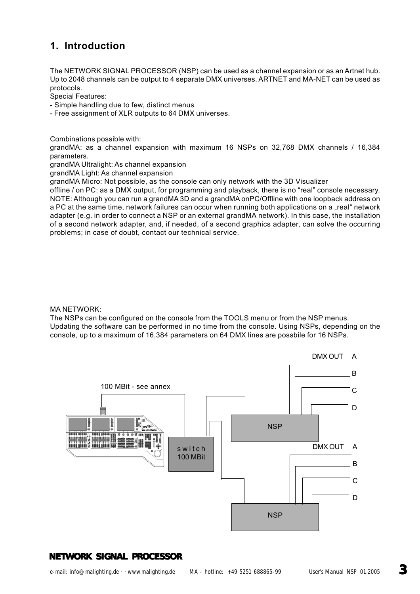### **1. Introduction**

The NETWORK SIGNAL PROCESSOR (NSP) can be used as a channel expansion or as an Artnet hub. Up to 2048 channels can be output to 4 separate DMX universes. ARTNET and MA-NET can be used as protocols.

Special Features:

- Simple handling due to few, distinct menus
- Free assignment of XLR outputs to 64 DMX universes.

Combinations possible with:

grandMA: as a channel expansion with maximum 16 NSPs on 32,768 DMX channels / 16,384 parameters.

grandMA Ultralight: As channel expansion

grandMA Light: As channel expansion

grandMA Micro: Not possible, as the console can only network with the 3D Visualizer

offline / on PC: as a DMX output, for programming and playback, there is no "real" console necessary. NOTE: Although you can run a grandMA 3D and a grandMA onPC/Offline with one loopback address on a PC at the same time, network failures can occur when running both applications on a "real" network adapter (e.g. in order to connect a NSP or an external grandMA network). In this case, the installation of a second network adapter, and, if needed, of a second graphics adapter, can solve the occurring problems; in case of doubt, contact our technical service.

#### MA NETWORK:

The NSPs can be configured on the console from the TOOLS menu or from the NSP menus. Updating the software can be performed in no time from the console. Using NSPs, depending on the console, up to a maximum of 16,384 parameters on 64 DMX lines are possbile for 16 NSPs.

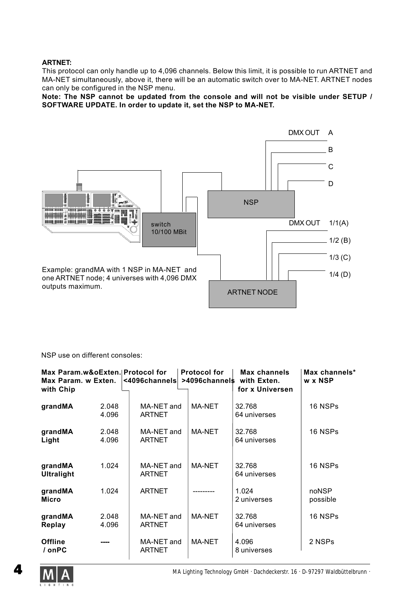#### **ARTNET:**

This protocol can only handle up to 4,096 channels. Below this limit, it is possible to run ARTNET and MA-NET simultaneously, above it, there will be an automatic switch over to MA-NET. ARTNET nodes can only be configured in the NSP menu.

**Note: The NSP cannot be updated from the console and will not be visible under SETUP / SOFTWARE UPDATE. In order to update it, set the NSP to MA-NET.**



NSP use on different consoles:

| Max Param.w&oExten. Protocol for<br>Max Param. w Exten.<br>with Chip |                | <4096channels               | <b>Protocol for</b> | <b>Max channels</b><br>>4096channels with Exten.<br>for x Universen | Max channels*<br>w x NSP |
|----------------------------------------------------------------------|----------------|-----------------------------|---------------------|---------------------------------------------------------------------|--------------------------|
| grandMA                                                              | 2.048<br>4.096 | MA-NET and<br><b>ARTNET</b> | MA-NET              | 32.768<br>64 universes                                              | 16 NSPs                  |
| grandMA<br>Light                                                     | 2.048<br>4.096 | MA-NET and<br><b>ARTNET</b> | MA-NET              | 32.768<br>64 universes                                              | 16 NSPs                  |
| grandMA<br><b>Ultralight</b>                                         | 1.024          | MA-NET and<br><b>ARTNET</b> | <b>MA-NET</b>       | 32.768<br>64 universes                                              | 16 NSPs                  |
| grandMA<br><b>Micro</b>                                              | 1.024          | <b>ARTNET</b>               |                     | 1.024<br>2 universes                                                | noNSP<br>possible        |
| grandMA<br>Replay                                                    | 2.048<br>4.096 | MA-NET and<br><b>ARTNET</b> | MA-NET              | 32.768<br>64 universes                                              | 16 NSPs                  |
| <b>Offline</b><br>/ onPC                                             |                | MA-NET and<br><b>ARTNET</b> | <b>MA-NET</b>       | 4.096<br>8 universes                                                | 2 NSPs                   |

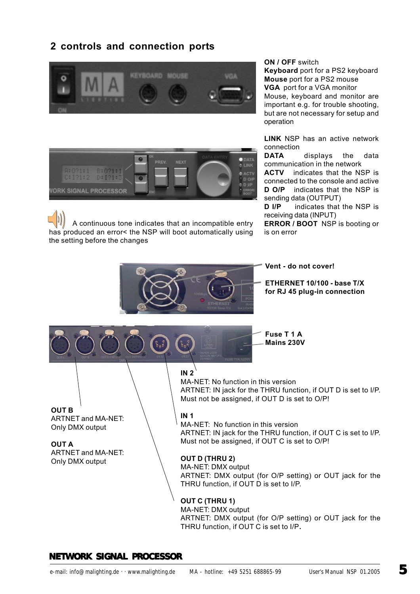## **2 controls and connection ports**





 A continuous tone indicates that an incompatible entry has produced an error< the NSP will boot automatically using the setting before the changes

**ON / OFF** switch

**Keyboard** port for a PS2 keyboard **Mouse** port for a PS2 mouse **VGA** port for a VGA monitor Mouse, keyboard and monitor are important e.g. for trouble shooting, but are not necessary for setup and operation

**LINK** NSP has an active network connection

**DATA** displays the data communication in the network

**ACTV** indicates that the NSP is connected to the console and active **D O/P** indicates that the NSP is sending data (OUTPUT)

**D I/P** indicates that the NSP is receiving data (INPUT)

**ERROR / BOOT** NSP is booting or is on error

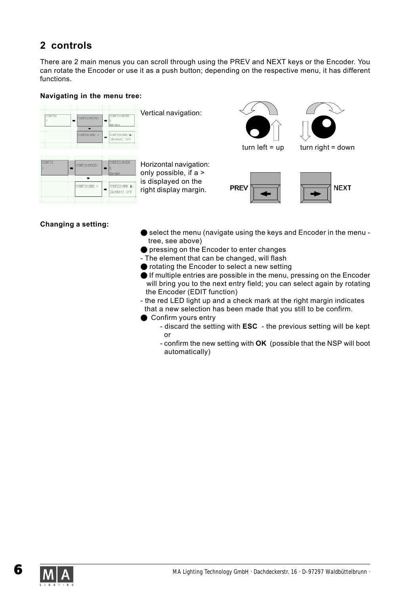## **2 controls**

There are 2 main menus you can scroll through using the PREV and NEXT keys or the Encoder. You can rotate the Encoder or use it as a push button; depending on the respective menu, it has different functions.

#### **Navigating in the menu tree:**

| <b>TOWFIG</b> | CONFIGMODE>  | CONFIG>MODE<br>MA-Net         | Vertical navigation: |
|---------------|--------------|-------------------------------|----------------------|
|               | CONFIG>DMX > | CONFIG>DNX A><br>(ArtNet) O/P |                      |

| CONFIG | CONFIG>MODE> | CONFIG>MODE                   |
|--------|--------------|-------------------------------|
|        |              | <b>MODELS</b>                 |
|        | CONFIG>DMX > | CONFIG>DMX A><br>(ArtNet) O/P |

Horizontal navigation: only possible, if a > is displayed on the right display margin.





 $turn left = up$  turn right = down





#### **Changing a setting:**

- O select the menu (navigate using the keys and Encoder in the menu tree, see above)
- **O** pressing on the Encoder to enter changes
- The element that can be changed, will flash
- O rotating the Encoder to select a new setting
- O If multiple entries are possible in the menu, pressing on the Encoder will bring you to the next entry field; you can select again by rotating the Encoder (EDIT function)
- the red LED light up and a check mark at the right margin indicates that a new selection has been made that you still to be confirm.
- Confirm yours entry
	- discard the setting with **ESC**  the previous setting will be kept or
	- confirm the new setting with **OK** (possible that the NSP will boot automatically)

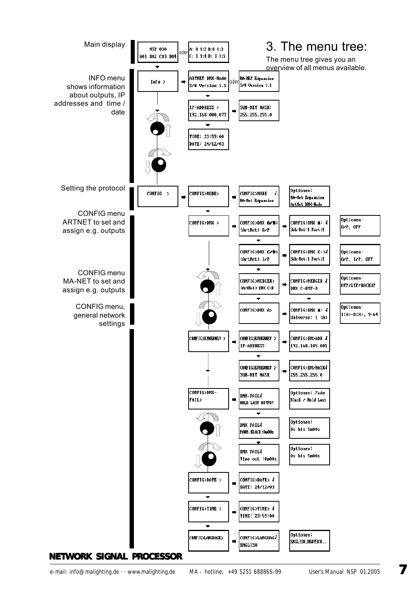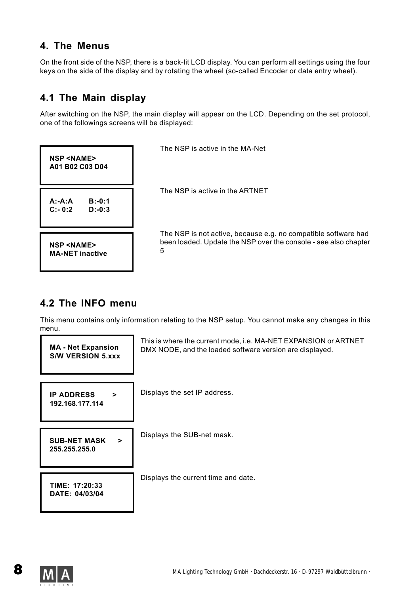### **4. The Menus**

On the front side of the NSP, there is a back-lit LCD display. You can perform all settings using the four keys on the side of the display and by rotating the wheel (so-called Encoder or data entry wheel).

## **4.1 The Main display**

After switching on the NSP, the main display will appear on the LCD. Depending on the set protocol, one of the followings screens will be displayed:



The NSP is active in the MA-Net

The NSP is active in the ARTNET

The NSP is not active, because e.g. no compatible software had been loaded. Update the NSP over the console - see also chapter 5

## **4.2 The INFO menu**

This menu contains only information relating to the NSP setup. You cannot make any changes in this menu.



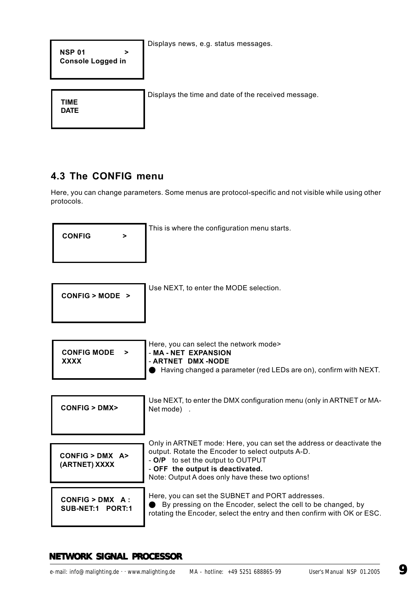Displays news, e.g. status messages.

**NSP 01 > Console Logged in**

Displays the time and date of the received message.

**TIME DATE**

## **4.3 The CONFIG menu**

Here, you can change parameters. Some menus are protocol-specific and not visible while using other protocols.

| <b>CONFIG</b> |  |
|---------------|--|
|               |  |

This is where the configuration menu starts.

| CONFIG > MODEL > |  |
|------------------|--|
|------------------|--|

Use NEXT, to enter the MODE selection.

| CONFIG MODE ><br>XXXX | Here, you can select the network mode><br>- MA - NET EXPANSION<br>- ARTNET DMX -NODE<br>Having changed a parameter (red LEDs are on), confirm with NEXT. |
|-----------------------|----------------------------------------------------------------------------------------------------------------------------------------------------------|
|-----------------------|----------------------------------------------------------------------------------------------------------------------------------------------------------|

| CONFIG > DMX                           | Use NEXT, to enter the DMX configuration menu (only in ARTNET or MA-<br>Net mode).                                                                                                                                                                     |
|----------------------------------------|--------------------------------------------------------------------------------------------------------------------------------------------------------------------------------------------------------------------------------------------------------|
| $CONFIG > DMX$ A><br>(ARTNET) XXXX     | Only in ARTNET mode: Here, you can set the address or deactivate the<br>output. Rotate the Encoder to select outputs A-D.<br>- O/P to set the output to OUTPUT<br>- OFF the output is deactivated.<br>Note: Output A does only have these two options! |
| $CONFIG > DMX A$ :<br>SUB-NET:1 PORT:1 | Here, you can set the SUBNET and PORT addresses.<br>By pressing on the Encoder, select the cell to be changed, by<br>rotating the Encoder, select the entry and then confirm with OK or ESC.                                                           |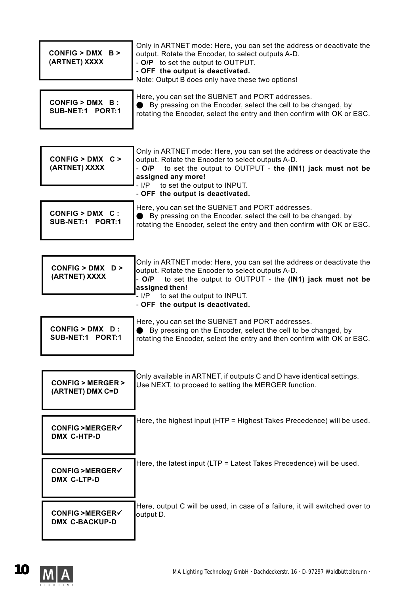| $CONFIG > DMX$ B ><br>(ARTNET) XXXX                | Only in ARTNET mode: Here, you can set the address or deactivate the<br>output. Rotate the Encoder, to select outputs A-D.<br>- O/P to set the output to OUTPUT.<br>- OFF the output is deactivated.<br>Note: Output B does only have these two options!                                      |
|----------------------------------------------------|-----------------------------------------------------------------------------------------------------------------------------------------------------------------------------------------------------------------------------------------------------------------------------------------------|
| $CONFIG > DMX$ B:<br>SUB-NET:1 PORT:1              | Here, you can set the SUBNET and PORT addresses.<br>By pressing on the Encoder, select the cell to be changed, by<br>rotating the Encoder, select the entry and then confirm with OK or ESC.                                                                                                  |
| $CONFIG > DMX$ C ><br>(ARTNET) XXXX                | Only in ARTNET mode: Here, you can set the address or deactivate the<br>output. Rotate the Encoder to select outputs A-D.<br>to set the output to OUTPUT - the (IN1) jack must not be<br>- O/P<br>assigned any more!<br>- I/P to set the output to INPUT.<br>- OFF the output is deactivated. |
| CONFIG > DMX C :<br>SUB-NET:1 PORT:1               | Here, you can set the SUBNET and PORT addresses.<br>● By pressing on the Encoder, select the cell to be changed, by<br>rotating the Encoder, select the entry and then confirm with OK or ESC.                                                                                                |
| $CONFIG > DMX$ D ><br>(ARTNET) XXXX                | Only in ARTNET mode: Here, you can set the address or deactivate the<br>output. Rotate the Encoder to select outputs A-D.<br>to set the output to OUTPUT - the (IN1) jack must not be<br>- O/P<br>assigned then!<br>- I/P to set the output to INPUT.<br>- OFF the output is deactivated.     |
| $CONFIG > DMX$ D:<br>SUB-NET:1 PORT:1              | Here, you can set the SUBNET and PORT addresses.<br>By pressing on the Encoder, select the cell to be changed, by<br>rotating the Encoder, select the entry and then confirm with OK or ESC.                                                                                                  |
| <b>CONFIG &gt; MERGER &gt;</b><br>(ARTNET) DMX C=D | Only available in ARTNET, if outputs C and D have identical settings.<br>Use NEXT, to proceed to setting the MERGER function.                                                                                                                                                                 |
| CONFIG >MERGER√<br>DMX C-HTP-D                     | Here, the highest input (HTP = Highest Takes Precedence) will be used.                                                                                                                                                                                                                        |
| CONFIG >MERGER√<br>DMX C-LTP-D                     | Here, the latest input (LTP = Latest Takes Precedence) will be used.                                                                                                                                                                                                                          |
|                                                    | Here, output C will be used, in case of a failure, it will switched over to                                                                                                                                                                                                                   |

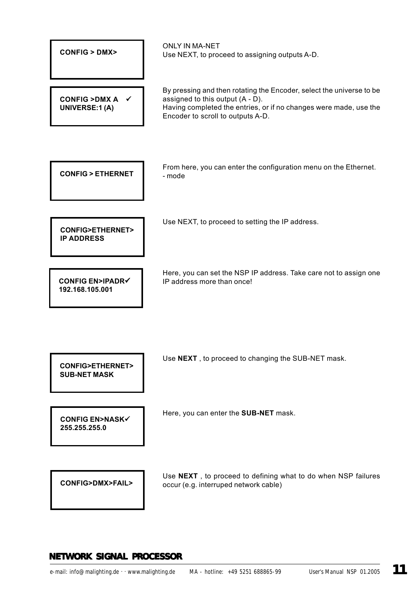| <b>CONFIG &gt; DMX&gt;</b>                           | <b>ONLY IN MA-NET</b><br>Use NEXT, to proceed to assigning outputs A-D.                                                                                                                                            |
|------------------------------------------------------|--------------------------------------------------------------------------------------------------------------------------------------------------------------------------------------------------------------------|
| <b>CONFIG &gt; DMX A</b><br><b>UNIVERSE:1(A)</b>     | By pressing and then rotating the Encoder, select the universe to be<br>assigned to this output (A - D).<br>Having completed the entries, or if no changes were made, use the<br>Encoder to scroll to outputs A-D. |
|                                                      |                                                                                                                                                                                                                    |
| <b>CONFIG &gt; ETHERNET</b>                          | From here, you can enter the configuration menu on the Ethernet.<br>- mode                                                                                                                                         |
|                                                      |                                                                                                                                                                                                                    |
| <b>CONFIG&gt;ETHERNET&gt;</b><br><b>IP ADDRESS</b>   | Use NEXT, to proceed to setting the IP address.                                                                                                                                                                    |
| <b>CONFIG EN&gt;IPADR√</b><br>192.168.105.001        | Here, you can set the NSP IP address. Take care not to assign one<br>IP address more than once!                                                                                                                    |
|                                                      |                                                                                                                                                                                                                    |
| <b>CONFIG&gt;ETHERNET&gt;</b><br><b>SUB-NET MASK</b> | Use NEXT, to proceed to changing the SUB-NET mask.                                                                                                                                                                 |
| <b>CONFIG EN&gt;NASK√</b><br>255.255.255.0           | Here, you can enter the SUB-NET mask.                                                                                                                                                                              |
| <b>CONFIG&gt;DMX&gt;FAIL&gt;</b>                     | Use NEXT, to proceed to defining what to do when NSP failures<br>occur (e.g. interruped network cable)                                                                                                             |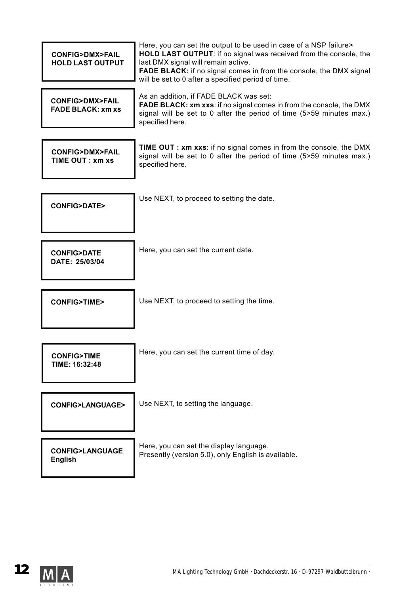| <b>CONFIG&gt;DMX&gt;FAIL</b><br><b>HOLD LAST OUTPUT</b>  | Here, you can set the output to be used in case of a NSP failure><br>HOLD LAST OUTPUT: if no signal was received from the console, the<br>last DMX signal will remain active.<br><b>FADE BLACK:</b> if no signal comes in from the console, the DMX signal<br>will be set to 0 after a specified period of time. |
|----------------------------------------------------------|------------------------------------------------------------------------------------------------------------------------------------------------------------------------------------------------------------------------------------------------------------------------------------------------------------------|
| <b>CONFIG&gt;DMX&gt;FAIL</b><br><b>FADE BLACK: xm xs</b> | As an addition, if FADE BLACK was set:<br><b>FADE BLACK: xm xxs:</b> if no signal comes in from the console, the DMX<br>signal will be set to 0 after the period of time (5>59 minutes max.)<br>specified here.                                                                                                  |
| <b>CONFIG&gt;DMX&gt;FAIL</b><br>TIME OUT: xm xs          | <b>TIME OUT: xm xxs:</b> if no signal comes in from the console, the DMX<br>signal will be set to 0 after the period of time (5>59 minutes max.)<br>specified here.                                                                                                                                              |
| <b>CONFIG&gt;DATE&gt;</b>                                | Use NEXT, to proceed to setting the date.                                                                                                                                                                                                                                                                        |
| <b>CONFIG&gt;DATE</b><br>DATE: 25/03/04                  | Here, you can set the current date.                                                                                                                                                                                                                                                                              |
| <b>CONFIG&gt;TIME&gt;</b>                                | Use NEXT, to proceed to setting the time.                                                                                                                                                                                                                                                                        |
| <b>CONFIG&gt;TIME</b><br>TIME: 16:32:48                  | Here, you can set the current time of day.                                                                                                                                                                                                                                                                       |
| <b>CONFIG&gt;LANGUAGE&gt;</b>                            | Use NEXT, to setting the language.                                                                                                                                                                                                                                                                               |
| <b>CONFIG&gt;LANGUAGE</b><br><b>English</b>              | Here, you can set the display language.<br>Presently (version 5.0), only English is available.                                                                                                                                                                                                                   |

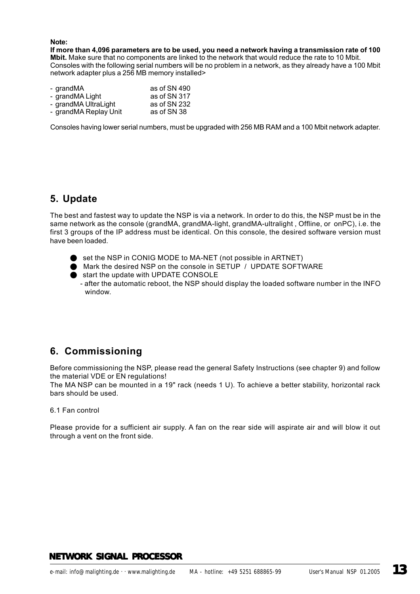#### **Note:**

**If more than 4,096 parameters are to be used, you need a network having a transmission rate of 100 Mbit.** Make sure that no components are linked to the network that would reduce the rate to 10 Mbit. Consoles with the following serial numbers will be no problem in a network, as they already have a 100 Mbit network adapter plus a 256 MB memory installed>

| - grandMA             | as of SN 490 |
|-----------------------|--------------|
| - grandMA Light       | as of SN 317 |
| - grandMA UltraLight  | as of SN 232 |
| - grandMA Replay Unit | as of SN 38  |

Consoles having lower serial numbers, must be upgraded with 256 MB RAM and a 100 Mbit network adapter.

#### **5. Update**

The best and fastest way to update the NSP is via a network. In order to do this, the NSP must be in the same network as the console (grandMA, grandMA-light, grandMA-ultralight , Offline, or onPC), i.e. the first 3 groups of the IP address must be identical. On this console, the desired software version must have been loaded.

- set the NSP in CONIG MODE to MA-NET (not possible in ARTNET)
- O Mark the desired NSP on the console in SETUP / UPDATE SOFTWARE

start the update with UPDATE CONSOLE - after the automatic reboot, the NSP should display the loaded software number in the INFO window.

## **6. Commissioning**

Before commissioning the NSP, please read the general Safety Instructions (see chapter 9) and follow the material VDE or EN regulations!

The MA NSP can be mounted in a 19" rack (needs 1 U). To achieve a better stability, horizontal rack bars should be used.

6.1 Fan control

Please provide for a sufficient air supply. A fan on the rear side will aspirate air and will blow it out through a vent on the front side.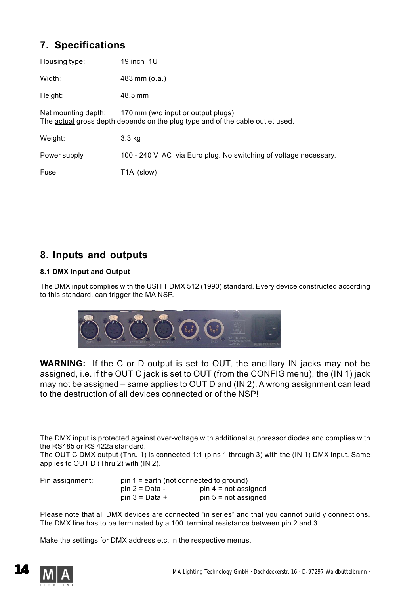## **7. Specifications**

| Housing type:                                                                                                                              | 19 inch 1U                                                       |  |
|--------------------------------------------------------------------------------------------------------------------------------------------|------------------------------------------------------------------|--|
| Width:                                                                                                                                     | 483 mm (o.a.)                                                    |  |
| Height:                                                                                                                                    | 48.5 mm                                                          |  |
| 170 mm (w/o input or output plugs)<br>Net mounting depth:<br>The actual gross depth depends on the plug type and of the cable outlet used. |                                                                  |  |
| Weight:                                                                                                                                    | $3.3$ kg                                                         |  |
| Power supply                                                                                                                               | 100 - 240 V AC via Euro plug. No switching of voltage necessary. |  |
| Fuse                                                                                                                                       | T <sub>1</sub> A (slow)                                          |  |

#### **8. Inputs and outputs**

#### **8.1 DMX Input and Output**

The DMX input complies with the USITT DMX 512 (1990) standard. Every device constructed according to this standard, can trigger the MA NSP.



**WARNING:** If the C or D output is set to OUT, the ancillary IN jacks may not be assigned, i.e. if the OUT C jack is set to OUT (from the CONFIG menu), the (IN 1) jack may not be assigned – same applies to OUT D and (IN 2). A wrong assignment can lead to the destruction of all devices connected or of the NSP!

The DMX input is protected against over-voltage with additional suppressor diodes and complies with the RS485 or RS 422a standard.

The OUT C DMX output (Thru 1) is connected 1:1 (pins 1 through 3) with the (IN 1) DMX input. Same applies to OUT D (Thru 2) with (IN 2).

| Pin assignment: |                  | $pin 1 = earth (not connected to ground)$ |
|-----------------|------------------|-------------------------------------------|
|                 | pin 2 = Data -   | $pin 4 = not assigned$                    |
|                 | pin $3 = Data +$ | $pin 5 = not assigned$                    |

Please note that all DMX devices are connected "in series" and that you cannot build y connections. The DMX line has to be terminated by a 100 terminal resistance between pin 2 and 3.

Make the settings for DMX address etc. in the respective menus.

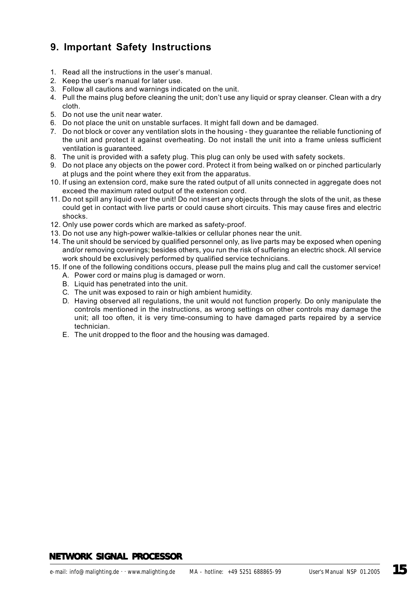## **9. Important Safety Instructions**

- 1. Read all the instructions in the user's manual.
- 2. Keep the user's manual for later use.
- 3. Follow all cautions and warnings indicated on the unit.
- 4. Pull the mains plug before cleaning the unit; don't use any liquid or spray cleanser. Clean with a dry cloth.
- 5. Do not use the unit near water.
- 6. Do not place the unit on unstable surfaces. It might fall down and be damaged.
- 7. Do not block or cover any ventilation slots in the housing they guarantee the reliable functioning of the unit and protect it against overheating. Do not install the unit into a frame unless sufficient ventilation is guaranteed.
- 8. The unit is provided with a safety plug. This plug can only be used with safety sockets.
- 9. Do not place any objects on the power cord. Protect it from being walked on or pinched particularly at plugs and the point where they exit from the apparatus.
- 10. If using an extension cord, make sure the rated output of all units connected in aggregate does not exceed the maximum rated output of the extension cord.
- 11. Do not spill any liquid over the unit! Do not insert any objects through the slots of the unit, as these could get in contact with live parts or could cause short circuits. This may cause fires and electric shocks.
- 12. Only use power cords which are marked as safety-proof.
- 13. Do not use any high-power walkie-talkies or cellular phones near the unit.
- 14. The unit should be serviced by qualified personnel only, as live parts may be exposed when opening and/or removing coverings; besides others, you run the risk of suffering an electric shock. All service work should be exclusively performed by qualified service technicians.
- 15. If one of the following conditions occurs, please pull the mains plug and call the customer service!
	- A. Power cord or mains plug is damaged or worn.
	- B. Liquid has penetrated into the unit.
	- C. The unit was exposed to rain or high ambient humidity.
	- D. Having observed all regulations, the unit would not function properly. Do only manipulate the controls mentioned in the instructions, as wrong settings on other controls may damage the unit; all too often, it is very time-consuming to have damaged parts repaired by a service technician.
	- E. The unit dropped to the floor and the housing was damaged.